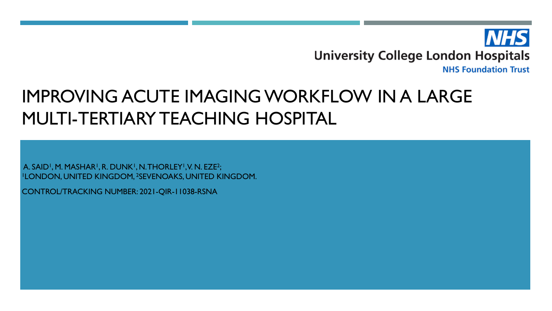

# IMPROVING ACUTE IMAGING WORKFLOW IN A LARGE MULTI-TERTIARY TEACHING HOSPITAL

A. SAID<sup>1</sup>, M. MASHAR<sup>1</sup>, R. DUNK<sup>1</sup>, N. THORLEY<sup>1</sup>, V. N. EZE<sup>2</sup>; 1LONDON, UNITED KINGDOM, 2SEVENOAKS, UNITED KINGDOM.

CONTROL/TRACKING NUMBER: 2021-QIR-11038-RSNA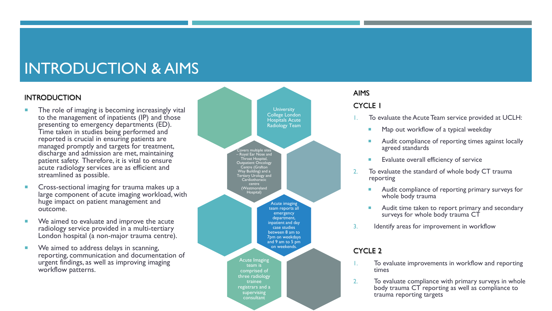## INTRODUCTION & AIMS

### **INTRODUCTION**

- The role of imaging is becoming increasingly vital to the management of inpatients (IP) and those presenting to emergency departments (ED). Time taken in studies being performed and reported is crucial in ensuring patients are managed promptly and targets for treatment, discharge and admission are met, maintaining patient safety. Therefore, it is vital to ensure acute radiology services are as efficient and streamlined as possible.
- Cross-sectional imaging for trauma makes up a large component of acute imaging workload, with huge impact on patient management and outcome.
- We aimed to evaluate and improve the acute radiology service provided in a multi-tertiary London hospital (a non-major trauma centre).
- **We aimed to address delays in scanning,** reporting, communication and documentation of urgent findings, as well as improving imaging workflow patterns.



### AIMS

### CYCLE 1

- To evaluate the Acute Team service provided at UCLH:
	- Map out workflow of a typical weekday
	- Audit compliance of reporting times against locally agreed standards
	- Evaluate overall efficiency of service
- 2. To evaluate the standard of whole body CT trauma reporting
	- Audit compliance of reporting primary surveys for whole body trauma
	- **Audit time taken to report primary and secondary** surveys for whole body trauma CT
- 3. Identify areas for improvement in workflow

### CYCLE 2

- 1. To evaluate improvements in workflow and reporting times
- 2. To evaluate compliance with primary surveys in whole body trauma CT reporting as well as compliance to trauma reporting targets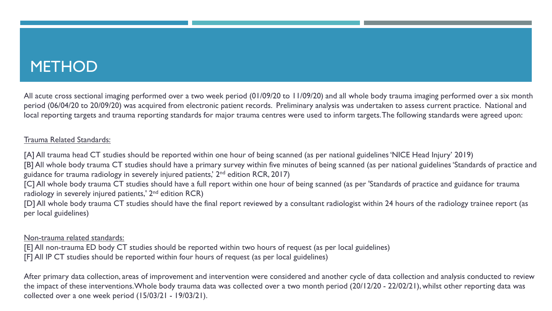## **METHOD**

All acute cross sectional imaging performed over a two week period (01/09/20 to 11/09/20) and all whole body trauma imaging performed over a six month period (06/04/20 to 20/09/20) was acquired from electronic patient records. Preliminary analysis was undertaken to assess current practice. National and local reporting targets and trauma reporting standards for major trauma centres were used to inform targets. The following standards were agreed upon:

### Trauma Related Standards:

[A] All trauma head CT studies should be reported within one hour of being scanned (as per national guidelines 'NICE Head Injury' 2019) [B] All whole body trauma CT studies should have a primary survey within five minutes of being scanned (as per national guidelines 'Standards of practice and guidance for trauma radiology in severely injured patients,'  $2<sup>nd</sup>$  edition RCR, 2017)

[C] All whole body trauma CT studies should have a full report within one hour of being scanned (as per 'Standards of practice and guidance for trauma radiology in severely injured patients,' 2<sup>nd</sup> edition RCR)

[D] All whole body trauma CT studies should have the final report reviewed by a consultant radiologist within 24 hours of the radiology trainee report (as per local guidelines)

#### Non-trauma related standards:

[E] All non-trauma ED body CT studies should be reported within two hours of request (as per local guidelines) [F] All IP CT studies should be reported within four hours of request (as per local guidelines)

After primary data collection, areas of improvement and intervention were considered and another cycle of data collection and analysis conducted to review the impact of these interventions. Whole body trauma data was collected over a two month period (20/12/20 - 22/02/21), whilst other reporting data was collected over a one week period (15/03/21 - 19/03/21).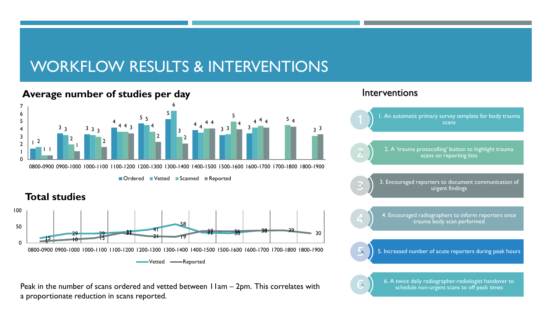# WORKFLOW RESULTS & INTERVENTIONS

## **Average number of studies per day**



■Ordered ■Vetted ■Scanned ■Reported

## **Total studies**



# Vetted Reported **Peak in the number of scans ordered and vetted between 11am – 2pm. This correlates with**  $\overline{6}$   $\overline{6}$   $\overline{6}$   $\overline{6}$  schedule non-urgent scans to off peak times

a proportionate reduction in scans reported.

## Interventions

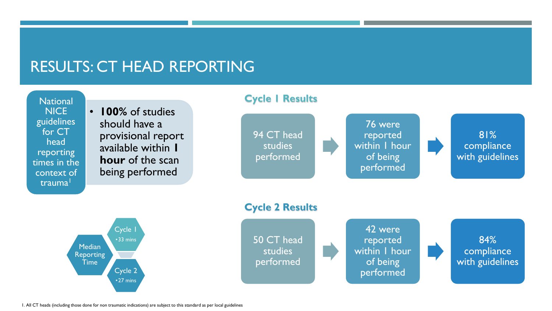## RESULTS: CT HEAD REPORTING

**National** NICE guidelines for CT head reporting times in the context of trauma<sup>1</sup>

• **100%** of studies should have a provisional report available within **1 hour** of the scan being performed







1. All CT heads (including those done for non traumatic indications) are subject to this standard as per local guidelines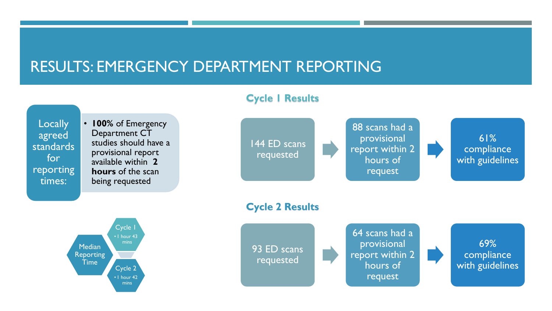## RESULTS: EMERGENCY DEPARTMENT REPORTING

## **Cycle 1 Results**

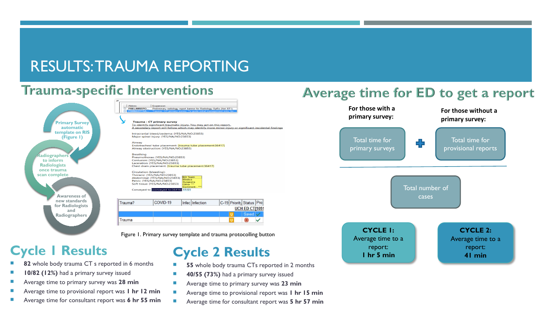# RESULTS: TRAUMA REPORTING

## **Trauma-specific Interventions**



| <b>PRELIMREPO</b><br>Preliminary radiology report banner for Radiology SpRs (Not ST1)<br>ŵ<br>PRIMARYTRA<br>Trauma - CT primary survey To quide initial management only, for<br><b>Trauma - CT primary survey</b><br>To identify significant traumatic injury. You may act on this report.<br>A secondary report will follow which may identify more minor injury or significant incidental findings<br>Intracranial bleed/oedema: {YES/NA/NO:23853}<br>Major spinal injury: {YES/NA/NO:23853}<br>Airway<br>Endotracheal tube placement: {trauma tube placement:36417}<br>Airway obstruction: {YES/NA/NO:23853}<br><b>Breathing</b><br>Pneumothorax: {YES/NA/NO:23853}<br>Contusion: {YES/NA/NO:23853}<br>Laceration: {YES/NA/NO:23853}<br>Chest drain placement: {trauma tube placement:36417}<br>Circulation (bleeding):<br>Thoracic: {YES/NA/NO:23853}<br><b>ED Team</b><br>Abdominal: {YES/NA/NO:23853}<br><b>Medics</b><br>Pelvic: {YES/NA/NO:23853}<br><b>Surgeons</b><br>Soft tissue: {YES/NA/NO:23853}<br>Other <sup>***</sup><br>Comment: ***<br>Conveyed to {conveyed to:36416} 11:51<br>COVID-19<br>C-19 Priority Status Pro<br>Trauma?<br>Infec Infection<br>UCH ED CT[1051<br>Saved<br>Trauma | Abbrey | Expansion |  |
|------------------------------------------------------------------------------------------------------------------------------------------------------------------------------------------------------------------------------------------------------------------------------------------------------------------------------------------------------------------------------------------------------------------------------------------------------------------------------------------------------------------------------------------------------------------------------------------------------------------------------------------------------------------------------------------------------------------------------------------------------------------------------------------------------------------------------------------------------------------------------------------------------------------------------------------------------------------------------------------------------------------------------------------------------------------------------------------------------------------------------------------------------------------------------------------------------------|--------|-----------|--|
|                                                                                                                                                                                                                                                                                                                                                                                                                                                                                                                                                                                                                                                                                                                                                                                                                                                                                                                                                                                                                                                                                                                                                                                                            |        |           |  |
|                                                                                                                                                                                                                                                                                                                                                                                                                                                                                                                                                                                                                                                                                                                                                                                                                                                                                                                                                                                                                                                                                                                                                                                                            |        |           |  |
|                                                                                                                                                                                                                                                                                                                                                                                                                                                                                                                                                                                                                                                                                                                                                                                                                                                                                                                                                                                                                                                                                                                                                                                                            |        |           |  |
|                                                                                                                                                                                                                                                                                                                                                                                                                                                                                                                                                                                                                                                                                                                                                                                                                                                                                                                                                                                                                                                                                                                                                                                                            |        |           |  |
|                                                                                                                                                                                                                                                                                                                                                                                                                                                                                                                                                                                                                                                                                                                                                                                                                                                                                                                                                                                                                                                                                                                                                                                                            |        |           |  |
|                                                                                                                                                                                                                                                                                                                                                                                                                                                                                                                                                                                                                                                                                                                                                                                                                                                                                                                                                                                                                                                                                                                                                                                                            |        |           |  |
|                                                                                                                                                                                                                                                                                                                                                                                                                                                                                                                                                                                                                                                                                                                                                                                                                                                                                                                                                                                                                                                                                                                                                                                                            |        |           |  |
|                                                                                                                                                                                                                                                                                                                                                                                                                                                                                                                                                                                                                                                                                                                                                                                                                                                                                                                                                                                                                                                                                                                                                                                                            |        |           |  |

Cycle 1 Results **Cycle 2 Results** 

- **82** whole body trauma CT s reported in 6 months
- **10/82 (12%)** had a primary survey issued
- Average time to primary survey was **28 min**
- Average time to provisional report was **1 hr 12 min**
- Average time for consultant report was **6 hr 55 min**

# Average time for ED to get a report



Average time for consultant report was **5 hr 57 min**

Average time to provisional report was **1 hr 15 min**

■ 55 whole body trauma CTs reported in 2 months

Average time to primary survey was **23 min**

**40/55 (73%)** had a primary survey issued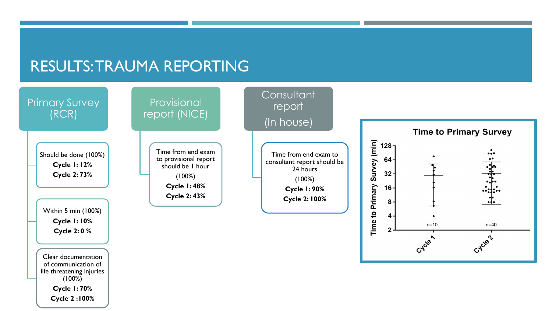## RESULTS: TRAUMA REPORTING

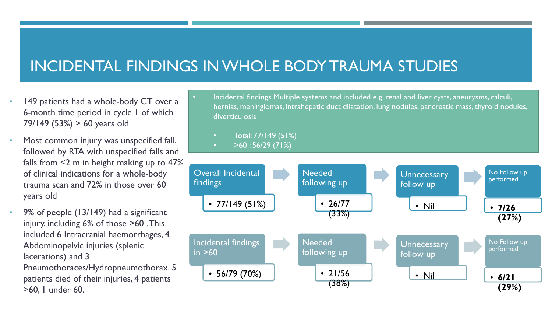# INCIDENTAL FINDINGS IN WHOLE BODY TRAUMA STUDIES

- 149 patients had a whole-body CT over a 6-month time period in cycle 1 of which 79/149 (53%) > 60 years old
- Most common injury was unspecified fall, followed by RTA with unspecified falls and falls from <2 m in height making up to 47% of clinical indications for a whole-body trauma scan and 72% in those over 60 years old
- 9% of people (13/149) had a significant injury, including 6% of those >60 . This included 6 Intracranial haemorrhages, 4 Abdominopelvic injuries (splenic lacerations) and 3

Pneumothoraces/Hydropneumothorax. 5 patients died of their injuries, 4 patients >60, 1 under 60.

- Incidental findings Multiple systems and included e.g. renal and liver cysts, aneurysms, calculi, hernias, meningiomas, intrahepatic duct dilatation, lung nodules, pancreatic mass, thyroid nodules, diverticulosis
	- Total: 77/149 (51%)
	- $>60:56/29(71%)$